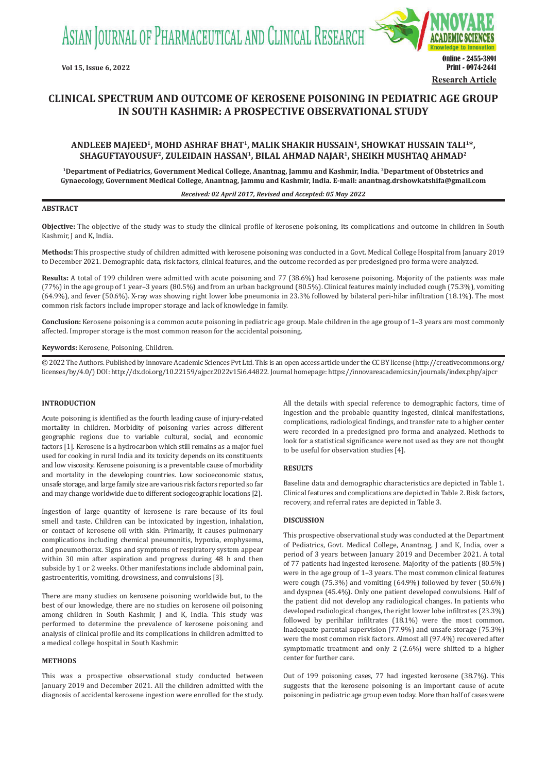ASIAN JOURNAL OF PHARMACEUTICAL AND CLINICAL RESEARCH



# **CLINICAL SPECTRUM AND OUTCOME OF KEROSENE POISONING IN PEDIATRIC AGE GROUP IN SOUTH KASHMIR: A PROSPECTIVE OBSERVATIONAL STUDY**

## **ANDLEEB MAJEED1, MOHD ASHRAF BHAT1, MALIK SHAKIR HUSSAIN1, SHOWKAT HUSSAIN TALI1\*, SHAGUFTAYOUSUF2, ZULEIDAIN HASSAN1, BILAL AHMAD NAJAR1, SHEIKH MUSHTAQ AHMAD2**

**1Department of Pediatrics, Government Medical College, Anantnag, Jammu and Kashmir, India. 2Department of Obstetrics and Gynaecology, Government Medical College, Anantnag, Jammu and Kashmir, India. E-mail: anantnag.drshowkatshifa@gmail.com**

*Received: 02 April 2017, Revised and Accepted: 05 May 2022*

## **ABSTRACT**

**Objective:** The objective of the study was to study the clinical profile of kerosene poisoning, its complications and outcome in children in South Kashmir, J and K, India.

**Methods:** This prospective study of children admitted with kerosene poisoning was conducted in a Govt. Medical College Hospital from January 2019 to December 2021. Demographic data, risk factors, clinical features, and the outcome recorded as per predesigned pro forma were analyzed.

**Results:** A total of 199 children were admitted with acute poisoning and 77 (38.6%) had kerosene poisoning. Majority of the patients was male (77%) in the age group of 1 year–3 years (80.5%) and from an urban background (80.5%). Clinical features mainly included cough (75.3%), vomiting (64.9%), and fever (50.6%). X-ray was showing right lower lobe pneumonia in 23.3% followed by bilateral peri-hilar infiltration (18.1%). The most common risk factors include improper storage and lack of knowledge in family.

**Conclusion:** Kerosene poisoning is a common acute poisoning in pediatric age group. Male children in the age group of 1–3 years are most commonly affected. Improper storage is the most common reason for the accidental poisoning.

**Keywords:** Kerosene, Poisoning, Children.

© 2022 The Authors. Published by Innovare Academic Sciences Pvt Ltd. This is an open access article under the CC BY license (http://creativecommons.org/ licenses/by/4.0/) DOI: http://dx.doi.org/10.22159/ajpcr.2022v15i6.44822. Journal homepage: https://innovareacademics.in/journals/index.php/ajpcr

## **INTRODUCTION**

Acute poisoning is identified as the fourth leading cause of injury-related mortality in children. Morbidity of poisoning varies across different geographic regions due to variable cultural, social, and economic factors [1]. Kerosene is a hydrocarbon which still remains as a major fuel used for cooking in rural India and its toxicity depends on its constituents and low viscosity. Kerosene poisoning is a preventable cause of morbidity and mortality in the developing countries. Low socioeconomic status, unsafe storage, and large family size are various risk factors reported so far and may change worldwide due to different sociogeographic locations [2].

Ingestion of large quantity of kerosene is rare because of its foul smell and taste. Children can be intoxicated by ingestion, inhalation, or contact of kerosene oil with skin. Primarily, it causes pulmonary complications including chemical pneumonitis, hypoxia, emphysema, and pneumothorax. Signs and symptoms of respiratory system appear within 30 min after aspiration and progress during 48 h and then subside by 1 or 2 weeks. Other manifestations include abdominal pain, gastroenteritis, vomiting, drowsiness, and convulsions [3].

There are many studies on kerosene poisoning worldwide but, to the best of our knowledge, there are no studies on kerosene oil poisoning among children in South Kashmir, J and K, India. This study was performed to determine the prevalence of kerosene poisoning and analysis of clinical profile and its complications in children admitted to a medical college hospital in South Kashmir.

#### **METHODS**

This was a prospective observational study conducted between January 2019 and December 2021. All the children admitted with the diagnosis of accidental kerosene ingestion were enrolled for the study.

All the details with special reference to demographic factors, time of ingestion and the probable quantity ingested, clinical manifestations, complications, radiological findings, and transfer rate to a higher center were recorded in a predesigned pro forma and analyzed. Methods to look for a statistical significance were not used as they are not thought to be useful for observation studies [4].

## **RESULTS**

Baseline data and demographic characteristics are depicted in Table 1. Clinical features and complications are depicted in Table 2. Risk factors, recovery, and referral rates are depicted in Table 3.

#### **DISCUSSION**

This prospective observational study was conducted at the Department of Pediatrics, Govt. Medical College, Anantnag, J and K, India, over a period of 3 years between January 2019 and December 2021. A total of 77 patients had ingested kerosene. Majority of the patients (80.5%) were in the age group of 1–3 years. The most common clinical features were cough (75.3%) and vomiting (64.9%) followed by fever (50.6%) and dyspnea (45.4%). Only one patient developed convulsions. Half of the patient did not develop any radiological changes. In patients who developed radiological changes, the right lower lobe infiltrates (23.3%) followed by perihilar infiltrates (18.1%) were the most common. Inadequate parental supervision (77.9%) and unsafe storage (75.3%) were the most common risk factors. Almost all (97.4%) recovered after symptomatic treatment and only 2 (2.6%) were shifted to a higher center for further care.

Out of 199 poisoning cases, 77 had ingested kerosene (38.7%). This suggests that the kerosene poisoning is an important cause of acute poisoning in pediatric age group even today. More than half of cases were